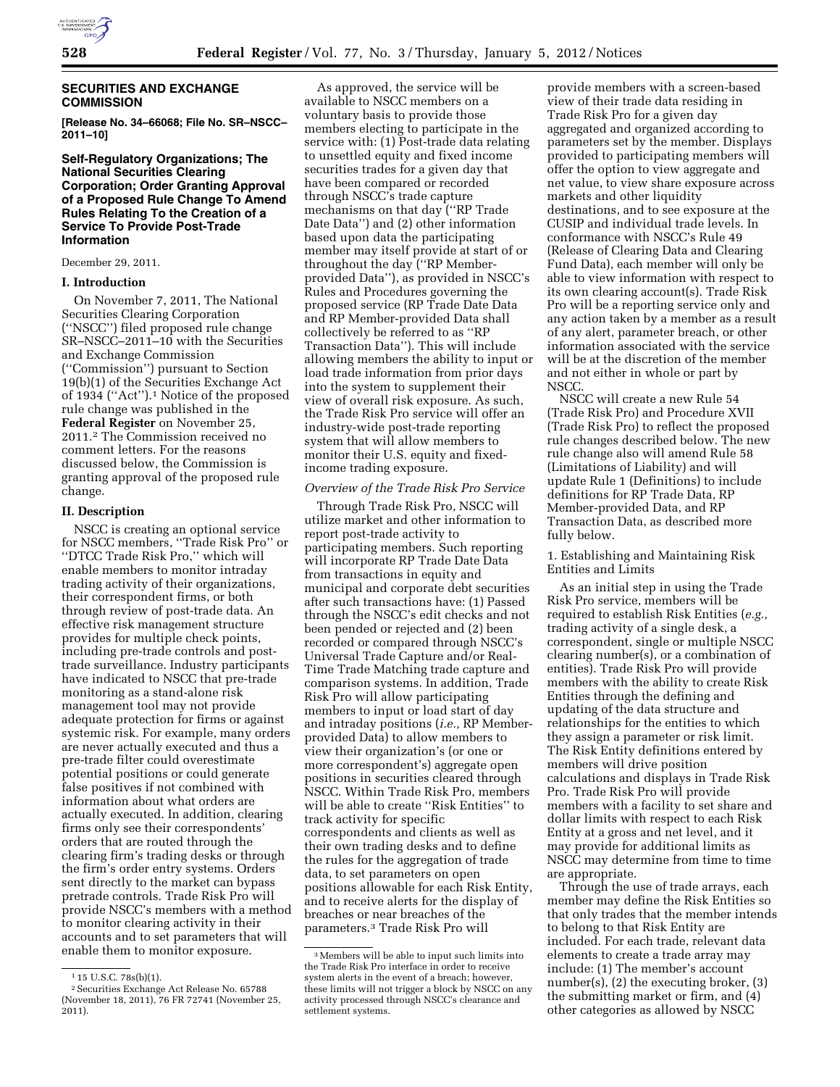

# **SECURITIES AND EXCHANGE COMMISSION**

**[Release No. 34–66068; File No. SR–NSCC– 2011–10]** 

# **Self-Regulatory Organizations; The National Securities Clearing Corporation; Order Granting Approval of a Proposed Rule Change To Amend Rules Relating To the Creation of a Service To Provide Post-Trade Information**

December 29, 2011.

### **I. Introduction**

On November 7, 2011, The National Securities Clearing Corporation (''NSCC'') filed proposed rule change SR–NSCC–2011–10 with the Securities and Exchange Commission (''Commission'') pursuant to Section 19(b)(1) of the Securities Exchange Act of 1934 (''Act'').1 Notice of the proposed rule change was published in the **Federal Register** on November 25, 2011.2 The Commission received no comment letters. For the reasons discussed below, the Commission is granting approval of the proposed rule change.

#### **II. Description**

NSCC is creating an optional service for NSCC members, ''Trade Risk Pro'' or ''DTCC Trade Risk Pro,'' which will enable members to monitor intraday trading activity of their organizations, their correspondent firms, or both through review of post-trade data. An effective risk management structure provides for multiple check points, including pre-trade controls and posttrade surveillance. Industry participants have indicated to NSCC that pre-trade monitoring as a stand-alone risk management tool may not provide adequate protection for firms or against systemic risk. For example, many orders are never actually executed and thus a pre-trade filter could overestimate potential positions or could generate false positives if not combined with information about what orders are actually executed. In addition, clearing firms only see their correspondents' orders that are routed through the clearing firm's trading desks or through the firm's order entry systems. Orders sent directly to the market can bypass pretrade controls. Trade Risk Pro will provide NSCC's members with a method to monitor clearing activity in their accounts and to set parameters that will enable them to monitor exposure.

As approved, the service will be available to NSCC members on a voluntary basis to provide those members electing to participate in the service with: (1) Post-trade data relating to unsettled equity and fixed income securities trades for a given day that have been compared or recorded through NSCC's trade capture mechanisms on that day (''RP Trade Date Data'') and (2) other information based upon data the participating member may itself provide at start of or throughout the day (''RP Memberprovided Data''), as provided in NSCC's Rules and Procedures governing the proposed service (RP Trade Date Data and RP Member-provided Data shall collectively be referred to as ''RP Transaction Data''). This will include allowing members the ability to input or load trade information from prior days into the system to supplement their view of overall risk exposure. As such, the Trade Risk Pro service will offer an industry-wide post-trade reporting system that will allow members to monitor their U.S. equity and fixedincome trading exposure.

#### *Overview of the Trade Risk Pro Service*

Through Trade Risk Pro, NSCC will utilize market and other information to report post-trade activity to participating members. Such reporting will incorporate RP Trade Date Data from transactions in equity and municipal and corporate debt securities after such transactions have: (1) Passed through the NSCC's edit checks and not been pended or rejected and (2) been recorded or compared through NSCC's Universal Trade Capture and/or Real-Time Trade Matching trade capture and comparison systems. In addition, Trade Risk Pro will allow participating members to input or load start of day and intraday positions (*i.e.,* RP Memberprovided Data) to allow members to view their organization's (or one or more correspondent's) aggregate open positions in securities cleared through NSCC. Within Trade Risk Pro, members will be able to create ''Risk Entities'' to track activity for specific correspondents and clients as well as their own trading desks and to define the rules for the aggregation of trade data, to set parameters on open positions allowable for each Risk Entity, and to receive alerts for the display of breaches or near breaches of the parameters.3 Trade Risk Pro will

provide members with a screen-based view of their trade data residing in Trade Risk Pro for a given day aggregated and organized according to parameters set by the member. Displays provided to participating members will offer the option to view aggregate and net value, to view share exposure across markets and other liquidity destinations, and to see exposure at the CUSIP and individual trade levels. In conformance with NSCC's Rule 49 (Release of Clearing Data and Clearing Fund Data), each member will only be able to view information with respect to its own clearing account(s). Trade Risk Pro will be a reporting service only and any action taken by a member as a result of any alert, parameter breach, or other information associated with the service will be at the discretion of the member and not either in whole or part by NSCC.

NSCC will create a new Rule 54 (Trade Risk Pro) and Procedure XVII (Trade Risk Pro) to reflect the proposed rule changes described below. The new rule change also will amend Rule 58 (Limitations of Liability) and will update Rule 1 (Definitions) to include definitions for RP Trade Data, RP Member-provided Data, and RP Transaction Data, as described more fully below.

1. Establishing and Maintaining Risk Entities and Limits

As an initial step in using the Trade Risk Pro service, members will be required to establish Risk Entities (*e.g.,*  trading activity of a single desk, a correspondent, single or multiple NSCC clearing number(s), or a combination of entities). Trade Risk Pro will provide members with the ability to create Risk Entities through the defining and updating of the data structure and relationships for the entities to which they assign a parameter or risk limit. The Risk Entity definitions entered by members will drive position calculations and displays in Trade Risk Pro. Trade Risk Pro will provide members with a facility to set share and dollar limits with respect to each Risk Entity at a gross and net level, and it may provide for additional limits as NSCC may determine from time to time are appropriate.

Through the use of trade arrays, each member may define the Risk Entities so that only trades that the member intends to belong to that Risk Entity are included. For each trade, relevant data elements to create a trade array may include: (1) The member's account number(s), (2) the executing broker, (3) the submitting market or firm, and (4) other categories as allowed by NSCC

<sup>1</sup> 15 U.S.C. 78s(b)(1).

<sup>2</sup>Securities Exchange Act Release No. 65788 (November 18, 2011), 76 FR 72741 (November 25, 2011).

<sup>3</sup>Members will be able to input such limits into the Trade Risk Pro interface in order to receive system alerts in the event of a breach; however, these limits will not trigger a block by NSCC on any activity processed through NSCC's clearance and settlement systems.